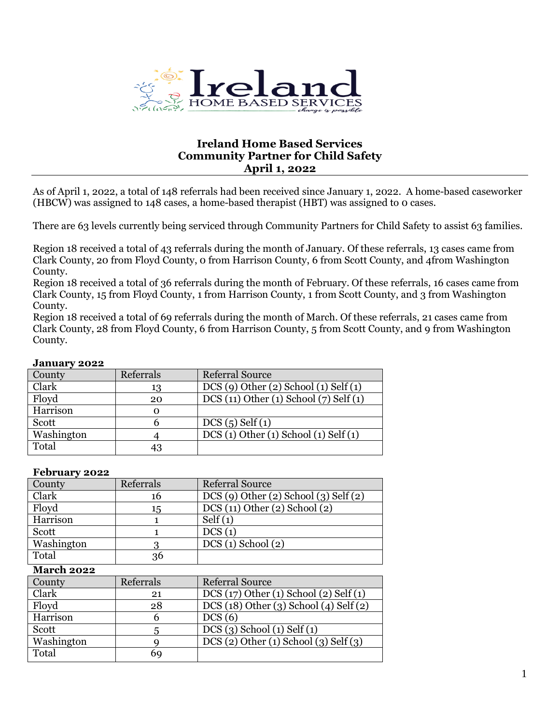

# **Ireland Home Based Services Community Partner for Child Safety April 1, 2022**

As of April 1, 2022, a total of 148 referrals had been received since January 1, 2022. A home-based caseworker (HBCW) was assigned to 148 cases, a home-based therapist (HBT) was assigned to 0 cases.

There are 63 levels currently being serviced through Community Partners for Child Safety to assist 63 families.

Region 18 received a total of 43 referrals during the month of January. Of these referrals, 13 cases came from Clark County, 20 from Floyd County, 0 from Harrison County, 6 from Scott County, and 4from Washington County.

Region 18 received a total of 36 referrals during the month of February. Of these referrals, 16 cases came from Clark County, 15 from Floyd County, 1 from Harrison County, 1 from Scott County, and 3 from Washington County.

Region 18 received a total of 69 referrals during the month of March. Of these referrals, 21 cases came from Clark County, 28 from Floyd County, 6 from Harrison County, 5 from Scott County, and 9 from Washington County.

| $v$ unuury $\epsilon v = \epsilon$ |           |                                        |  |  |
|------------------------------------|-----------|----------------------------------------|--|--|
| County                             | Referrals | <b>Referral Source</b>                 |  |  |
| Clark                              | 13        | $DCS(9)$ Other (2) School (1) Self (1) |  |  |
| Floyd                              | 20        | DCS (11) Other (1) School (7) Self (1) |  |  |
| Harrison                           | $\Omega$  |                                        |  |  |
| Scott                              |           | DCS(5) Self(1)                         |  |  |
| Washington                         |           | DCS(1) Other(1) School(1) Self(1)      |  |  |
| Total                              | 43        |                                        |  |  |

## **January 2022**

#### **February 2022**

| County     | Referrals | <b>Referral Source</b>                 |  |
|------------|-----------|----------------------------------------|--|
| Clark      | 16        | $DCS(9)$ Other (2) School (3) Self (2) |  |
| Floyd      | 15        | DCS(11) Other(2) School(2)             |  |
| Harrison   |           | Self(1)                                |  |
| Scott      |           | DCS(1)                                 |  |
| Washington |           | $DCS(1)$ School $(2)$                  |  |
| Total      | 36        |                                        |  |

#### **March 2022**

| County     | Referral Source<br>Referrals |                                        |
|------------|------------------------------|----------------------------------------|
| Clark      | 21                           | DCS(17) Other(1) School(2) Self(1)     |
| Floyd      | 28                           | DCS (18) Other (3) School (4) Self (2) |
| Harrison   |                              | DCS(6)                                 |
| Scott      |                              | $DCS(3)$ School $(1)$ Self $(1)$       |
| Washington |                              | DCS(2) Other(1) School(3) Self(3)      |
| Total      | 69                           |                                        |